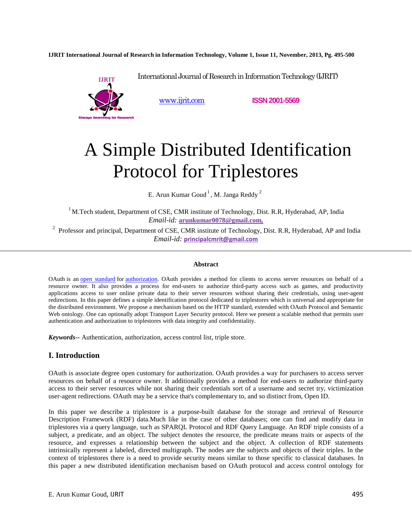**IJRIT International Journal of Research in Information Technology, Volume 1, Issue 11, November, 2013, Pg. 495-500**



www.ijrit.com **ISSN 2001-5569**

# A Simple Distributed Identification Protocol for Triplestores

International Journal of Research in Information Technology (IJRIT)

E. Arun Kumar Goud $^{\rm 1}$ , M. Janga Reddy  $^{\rm 2}$ 

 $1$ M.Tech student, Department of CSE, CMR institute of Technology, Dist. R.R, Hyderabad, AP, India *Email-id:* **arunkumar0078@gmail.com,**

<sup>2</sup> Professor and principal, Department of CSE, CMR institute of Technology, Dist. R.R, Hyderabad, AP and India *Email-id:* **principalcmrit@gmail.com**

#### **Abstract**

OAuth is an open standard for authorization. OAuth provides a method for clients to access server resources on behalf of a resource owner. It also provides a process for end-users to authorize third-party access such as games, and productivity applications access to user online private data to their server resources without sharing their credentials, using user-agent redirections. In this paper defines a simple identification protocol dedicated to triplestores which is universal and appropriate for the distributed environment. We propose a mechanism based on the HTTP standard, extended with OAuth Protocol and Semantic Web ontology. One can optionally adopt Transport Layer Security protocol. Here we present a scalable method that permits user authentication and authorization to triplestores with data integrity and confidentiality.

*Keywords***--** Authentication, authorization, access control list, triple store.

# **I. Introduction**

OAuth is associate degree open customary for authorization. OAuth provides a way for purchasers to access server resources on behalf of a resource owner. It additionally provides a method for end-users to authorize third-party access to their server resources while not sharing their credentials sort of a username and secret try, victimization user-agent redirections. OAuth may be a service that's complementary to, and so distinct from, Open ID.

In this paper we describe a triplestore is a purpose-built database for the storage and retrieval of Resource Description Framework (RDF) data.Much like in the case of other databases; one can find and modify data in triplestores via a query language, such as SPARQL Protocol and RDF Query Language. An RDF triple consists of a subject, a predicate, and an object. The subject denotes the resource, the predicate means traits or aspects of the resource, and expresses a relationship between the subject and the object. A collection of RDF statements intrinsically represent a labeled, directed multigraph. The nodes are the subjects and objects of their triples. In the context of triplestores there is a need to provide security means similar to those specific to classical databases. In this paper a new distributed identification mechanism based on OAuth protocol and access control ontology for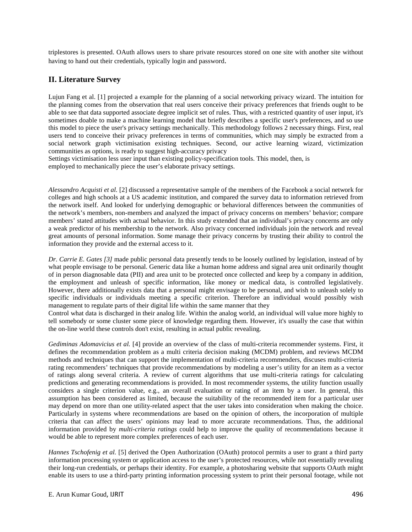triplestores is presented. OAuth allows users to share private resources stored on one site with another site without having to hand out their credentials, typically login and password.

# **II. Literature Survey**

Lujun Fang et al. [1] projected a example for the planning of a social networking privacy wizard. The intuition for the planning comes from the observation that real users conceive their privacy preferences that friends ought to be able to see that data supported associate degree implicit set of rules. Thus, with a restricted quantity of user input, it's sometimes doable to make a machine learning model that briefly describes a specific user's preferences, and so use this model to piece the user's privacy settings mechanically. This methodology follows 2 necessary things. First, real users tend to conceive their privacy preferences in terms of communities, which may simply be extracted from a social network graph victimisation existing techniques. Second, our active learning wizard, victimization communities as options, is ready to suggest high-accuracy privacy

Settings victimisation less user input than existing policy-specification tools. This model, then, is employed to mechanically piece the user's elaborate privacy settings.

*Alessandro Acquisti et al.* [2] discussed a representative sample of the members of the Facebook a social network for colleges and high schools at a US academic institution, and compared the survey data to information retrieved from the network itself. And looked for underlying demographic or behavioral differences between the communities of the network's members, non-members and analyzed the impact of privacy concerns on members' behavior; compare members' stated attitudes with actual behavior. In this study extended that an individual's privacy concerns are only a weak predictor of his membership to the network. Also privacy concerned individuals join the network and reveal great amounts of personal information. Some manage their privacy concerns by trusting their ability to control the information they provide and the external access to it.

*Dr. Carrie E. Gates [3]* made public personal data presently tends to be loosely outlined by legislation, instead of by what people envisage to be personal. Generic data like a human home address and signal area unit ordinarily thought of in person diagnosable data (PII) and area unit to be protected once collected and keep by a company in addition, the employment and unleash of specific information, like money or medical data, is controlled legislatively. However, there additionally exists data that a personal might envisage to be personal, and wish to unleash solely to specific individuals or individuals meeting a specific criterion. Therefore an individual would possibly wish management to regulate parts of their digital life within the same manner that they

Control what data is discharged in their analog life. Within the analog world, an individual will value more highly to tell somebody or some cluster some piece of knowledge regarding them. However, it's usually the case that within the on-line world these controls don't exist, resulting in actual public revealing.

*Gediminas Adomavicius et al.* [4] provide an overview of the class of multi-criteria recommender systems. First, it defines the recommendation problem as a multi criteria decision making (MCDM) problem, and reviews MCDM methods and techniques that can support the implementation of multi-criteria recommenders, discuses multi-criteria rating recommenders' techniques that provide recommendations by modeling a user's utility for an item as a vector of ratings along several criteria. A review of current algorithms that use multi-criteria ratings for calculating predictions and generating recommendations is provided. In most recommender systems, the utility function usually considers a single criterion value, e.g., an overall evaluation or rating of an item by a user. In general, this assumption has been considered as limited, because the suitability of the recommended item for a particular user may depend on more than one utility-related aspect that the user takes into consideration when making the choice. Particularly in systems where recommendations are based on the opinion of others, the incorporation of multiple criteria that can affect the users' opinions may lead to more accurate recommendations. Thus, the additional information provided by *multi-criteria ratings* could help to improve the quality of recommendations because it would be able to represent more complex preferences of each user.

*Hannes Tschofenig et al.* [5] derived the Open Authorization (OAuth) protocol permits a user to grant a third party information processing system or application access to the user's protected resources, while not essentially revealing their long-run credentials, or perhaps their identity. For example, a photosharing website that supports OAuth might enable its users to use a third-party printing information processing system to print their personal footage, while not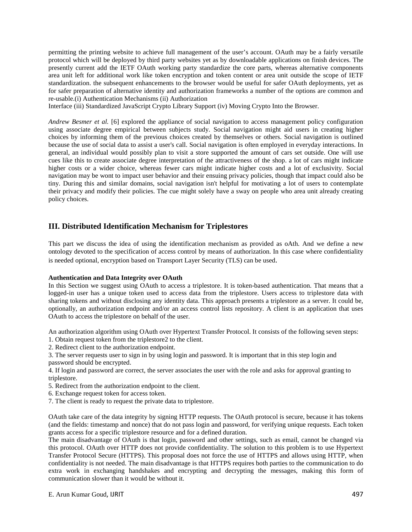permitting the printing website to achieve full management of the user's account. OAuth may be a fairly versatile protocol which will be deployed by third party websites yet as by downloadable applications on finish devices. The presently current add the IETF OAuth working party standardize the core parts, whereas alternative components area unit left for additional work like token encryption and token content or area unit outside the scope of IETF standardization. the subsequent enhancements to the browser would be useful for safer OAuth deployments, yet as for safer preparation of alternative identity and authorization frameworks a number of the options are common and re-usable.(i) Authentication Mechanisms (ii) Authorization

Interface (iii) Standardized JavaScript Crypto Library Support (iv) Moving Crypto Into the Browser.

*Andrew Besmer et al.* [6] explored the appliance of social navigation to access management policy configuration using associate degree empirical between subjects study. Social navigation might aid users in creating higher choices by informing them of the previous choices created by themselves or others. Social navigation is outlined because the use of social data to assist a user's call. Social navigation is often employed in everyday interactions. In general, an individual would possibly plan to visit a store supported the amount of cars set outside. One will use cues like this to create associate degree interpretation of the attractiveness of the shop. a lot of cars might indicate higher costs or a wider choice, whereas fewer cars might indicate higher costs and a lot of exclusivity. Social navigation may be wont to impact user behavior and their ensuing privacy policies, though that impact could also be tiny. During this and similar domains, social navigation isn't helpful for motivating a lot of users to contemplate their privacy and modify their policies. The cue might solely have a sway on people who area unit already creating policy choices.

### **III. Distributed Identification Mechanism for Triplestores**

This part we discuss the idea of using the identification mechanism as provided as oAth. And we define a new ontology devoted to the specification of access control by means of authorization. In this case where confidentiality is needed optional, encryption based on Transport Layer Security (TLS) can be used.

#### **Authentication and Data Integrity over OAuth**

In this Section we suggest using OAuth to access a triplestore. It is token-based authentication. That means that a logged-in user has a unique token used to access data from the triplestore. Users access to triplestore data with sharing tokens and without disclosing any identity data. This approach presents a triplestore as a server. It could be, optionally, an authorization endpoint and/or an access control lists repository. A client is an application that uses OAuth to access the triplestore on behalf of the user.

An authorization algorithm using OAuth over Hypertext Transfer Protocol. It consists of the following seven steps: 1. Obtain request token from the triplestore2 to the client.

2. Redirect client to the authorization endpoint.

3. The server requests user to sign in by using login and password. It is important that in this step login and password should be encrypted.

4. If login and password are correct, the server associates the user with the role and asks for approval granting to triplestore.

5. Redirect from the authorization endpoint to the client.

6. Exchange request token for access token.

7. The client is ready to request the private data to triplestore.

OAuth take care of the data integrity by signing HTTP requests. The OAuth protocol is secure, because it has tokens (and the fields: timestamp and nonce) that do not pass login and password, for verifying unique requests. Each token grants access for a specific triplestore resource and for a defined duration.

The main disadvantage of OAuth is that login, password and other settings, such as email, cannot be changed via this protocol. OAuth over HTTP does not provide confidentiality. The solution to this problem is to use Hypertext Transfer Protocol Secure (HTTPS). This proposal does not force the use of HTTPS and allows using HTTP, when confidentiality is not needed. The main disadvantage is that HTTPS requires both parties to the communication to do extra work in exchanging handshakes and encrypting and decrypting the messages, making this form of communication slower than it would be without it.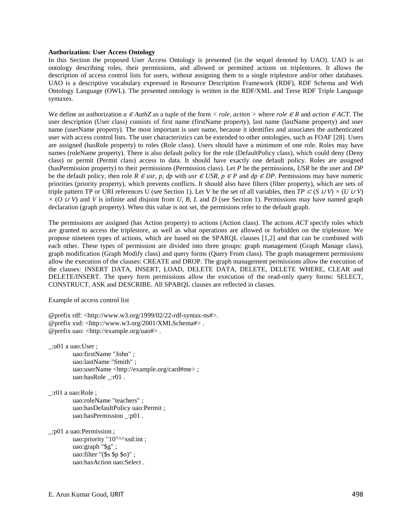#### **Authorization: User Access Ontology**

In this Section the proposed User Access Ontology is presented (in the sequel denoted by UAO). UAO is an ontology describing roles, their permissions, and allowed or permitted actions on triplestores. It allows the description of access control lists for users, without assigning them to a single triplestore and/or other databases. UAO is a descriptive vocabulary expressed in Resource Description Framework (RDF), RDF Schema and Web Ontology Language (OWL). The presented ontology is written in the RDF/XML and Terse RDF Triple Language syntaxes.

We define an authorization *a*  $\epsilon$  *AuthZ* as a tuple of the form  $\lt$  *role, action*  $\gt$  where *role*  $\epsilon$ *R* and *action*  $\epsilon$ *ACT*. The user description (User class) consists of first name (firstName property), last name (lastName property) and user name (userName property). The most important is user name, because it identifies and associates the authenticated user with access control lists. The user characteristics can be extended to other ontologies, such as FOAF [28]. Users are assigned (hasRole property) to roles (Role class). Users should have a minimum of one role. Roles may have names (roleName property). There is also default policy for the role (DefaultPolicy class), which could deny (Deny class) or permit (Permit class) access to data. It should have exactly one default policy. Roles are assigned (hasPermission property) to their permissions (Permission class). Let *P* be the permissions, *USR* be the user and *DP*  be the default policy, then role *R* ∈ *usr, p, dp* with *usr* ∈ *USR, p* ∈ *P* and *dp* ∈ *DP*. Permissions may have numeric priorities (priority property), which prevents conflicts. It should also have filters (filter property), which are sets of triple pattern TP or URI references U (see Section 1). Let V be the set of all variables, then *TP* ⊂ (*S* ∪*V*)  $\times$  (*U* ∪*V*)  $\times$  (*O ∪ V*) and *V* is infinite and disjoint from *U*, *B*, *L* and *D* (see Section 1). Permissions may have named graph declaration (graph property). When this value is not set, the permisions refer to the default graph.

The permissions are assigned (has Action property) to actions (Action class). The actions *ACT* specify roles which are granted to access the triplestore, as well as what operations are allowed or forbidden on the triplestore. We propose nineteen types of actions, which are based on the SPARQL clauses [1,2] and that can be combined with each other. These types of permission are divided into three groups: graph management (Graph Manage class), graph modification (Graph Modify class) and query forms (Query From class). The graph management permissions allow the execution of the clauses: CREATE and DROP. The graph management permissions allow the execution of the clauses: INSERT DATA, INSERT, LOAD, DELETE DATA, DELETE, DELETE WHERE, CLEAR and DELETE/INSERT. The query form permissions allow the execution of the read-only query forms: SELECT, CONSTRUCT, ASK and DESCRIBE. All SPARQL clauses are reflected in classes.

Example of access control list

@prefix rdf: <http://www.w3.org/1999/02/22-rdf-syntax-ns#>. @prefix xsd: <http://www.w3.org/2001/XMLSchema#> . @prefix uao: <http://example.org/uao#> .

\_:u01 a uao:User ; uao:firstName "John" ; uao:lastName "Smith" ; uao:userName <http://example.org/card#me> ; uao:hasRole :r01.

\_:r01 a uao:Role ; uao:roleName "teachers" ; uao:hasDefaultPolicy uao:Permit ; uao:hasPermission :p01.

\_:p01 a uao:Permission ; uao:priority "10"^^xsd:int ; uao:graph "\$g" ; uao:filter "(\$s \$p \$o)" ; uao:hasAction uao:Select .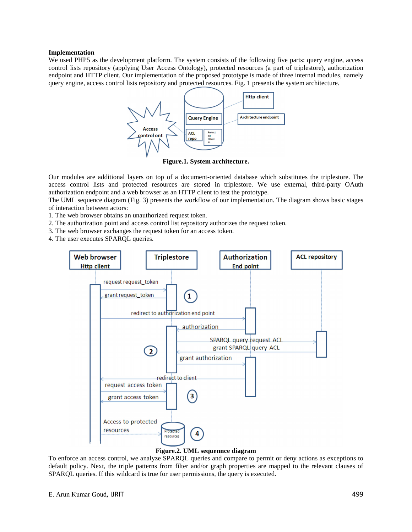#### **Implementation**

We used PHP5 as the development platform. The system consists of the following five parts: query engine, access control lists repository (applying User Access Ontology), protected resources (a part of triplestore), authorization endpoint and HTTP client. Our implementation of the proposed prototype is made of three internal modules, namely query engine, access control lists repository and protected resources. Fig. 1 presents the system architecture.



**Figure.1. System architecture.** 

Our modules are additional layers on top of a document-oriented database which substitutes the triplestore. The access control lists and protected resources are stored in triplestore. We use external, third-party OAuth authorization endpoint and a web browser as an HTTP client to test the prototype.

The UML sequence diagram (Fig. 3) presents the workflow of our implementation. The diagram shows basic stages of interaction between actors:

1. The web browser obtains an unauthorized request token.

2. The authorization point and access control list repository authorizes the request token.

3. The web browser exchanges the request token for an access token.

4. The user executes SPARQL queries.



#### **Figure.2. UML sequennce diagram**

To enforce an access control, we analyze SPARQL queries and compare to permit or deny actions as exceptions to default policy. Next, the triple patterns from filter and/or graph properties are mapped to the relevant clauses of SPARQL queries. If this wildcard is true for user permissions, the query is executed.